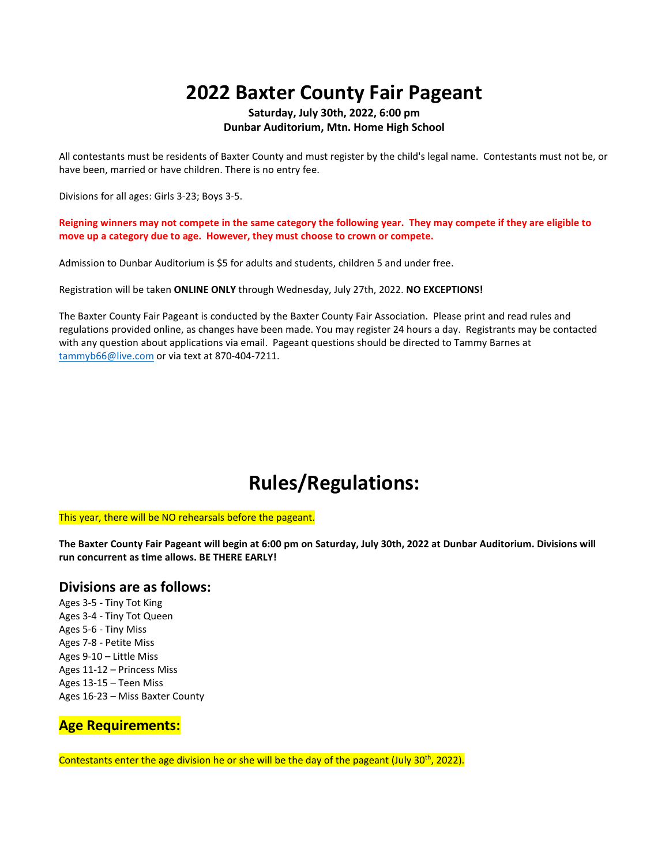# **2022 Baxter County Fair Pageant**

#### **Saturday, July 30th, 2022, 6:00 pm Dunbar Auditorium, Mtn. Home High School**

All contestants must be residents of Baxter County and must register by the child's legal name. Contestants must not be, or have been, married or have children. There is no entry fee.

Divisions for all ages: Girls 3-23; Boys 3-5.

**Reigning winners may not compete in the same category the following year. They may compete if they are eligible to move up a category due to age. However, they must choose to crown or compete.**

Admission to Dunbar Auditorium is \$5 for adults and students, children 5 and under free.

Registration will be taken **ONLINE ONLY** through Wednesday, July 27th, 2022. **NO EXCEPTIONS!** 

The Baxter County Fair Pageant is conducted by the Baxter County Fair Association. Please print and read rules and regulations provided online, as changes have been made. You may register 24 hours a day. Registrants may be contacted with any question about applications via email. Pageant questions should be directed to Tammy Barnes at [tammyb66@live.com](mailto:tammyb66@live.com) or via text at 870-404-7211.

# **Rules/Regulations:**

This year, there will be NO rehearsals before the pageant.

**The Baxter County Fair Pageant will begin at 6:00 pm on Saturday, July 30th, 2022 at Dunbar Auditorium. Divisions will run concurrent as time allows. BE THERE EARLY!**

#### **Divisions are as follows:**

Ages 3-5 - Tiny Tot King Ages 3-4 - Tiny Tot Queen Ages 5-6 - Tiny Miss Ages 7-8 - Petite Miss Ages 9-10 – Little Miss Ages 11-12 – Princess Miss Ages 13-15 – Teen Miss Ages 16-23 – Miss Baxter County

#### **Age Requirements:**

Contestants enter the age division he or she will be the day of the pageant (July 30<sup>th</sup>, 2022).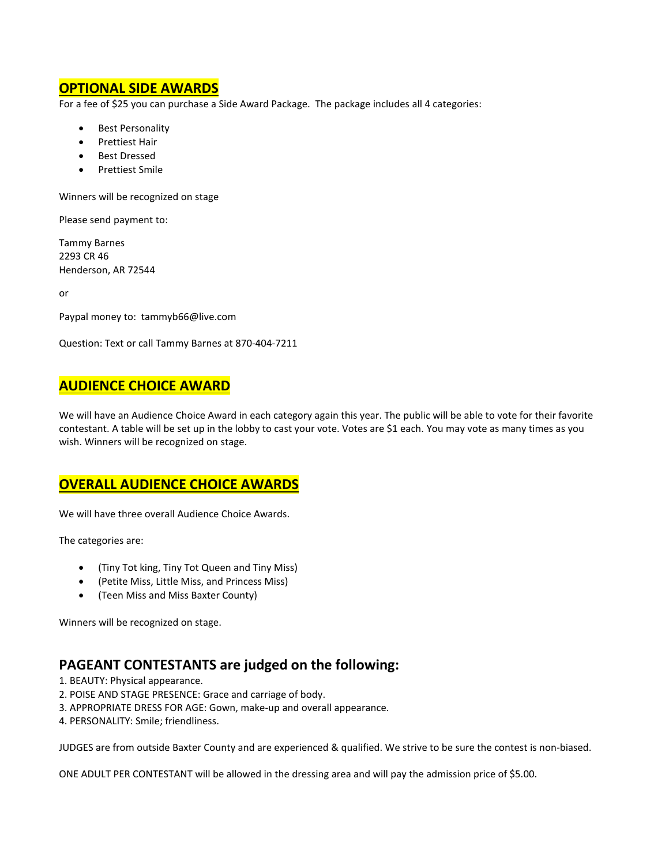### **OPTIONAL SIDE AWARDS**

For a fee of \$25 you can purchase a Side Award Package. The package includes all 4 categories:

- Best Personality
- Prettiest Hair
- Best Dressed
- Prettiest Smile

Winners will be recognized on stage

Please send payment to:

Tammy Barnes 2293 CR 46 Henderson, AR 72544

or

Paypal money to: tammyb66@live.com

Question: Text or call Tammy Barnes at 870-404-7211

#### **AUDIENCE CHOICE AWARD**

We will have an Audience Choice Award in each category again this year. The public will be able to vote for their favorite contestant. A table will be set up in the lobby to cast your vote. Votes are \$1 each. You may vote as many times as you wish. Winners will be recognized on stage.

## **OVERALL AUDIENCE CHOICE AWARDS**

We will have three overall Audience Choice Awards.

The categories are:

- (Tiny Tot king, Tiny Tot Queen and Tiny Miss)
- (Petite Miss, Little Miss, and Princess Miss)
- (Teen Miss and Miss Baxter County)

Winners will be recognized on stage.

## **PAGEANT CONTESTANTS are judged on the following:**

1. BEAUTY: Physical appearance.

- 2. POISE AND STAGE PRESENCE: Grace and carriage of body.
- 3. APPROPRIATE DRESS FOR AGE: Gown, make-up and overall appearance.
- 4. PERSONALITY: Smile; friendliness.

JUDGES are from outside Baxter County and are experienced & qualified. We strive to be sure the contest is non-biased.

ONE ADULT PER CONTESTANT will be allowed in the dressing area and will pay the admission price of \$5.00.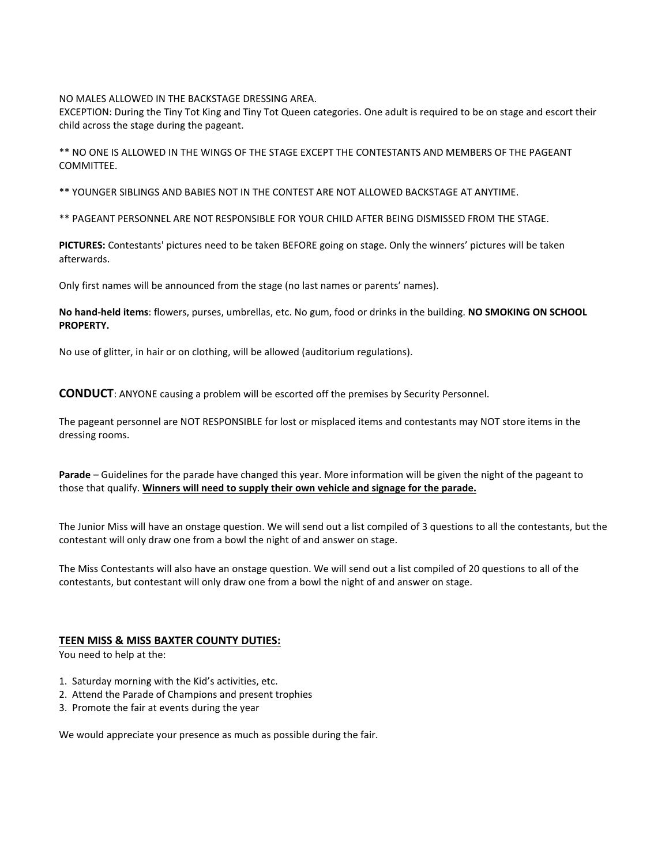NO MALES ALLOWED IN THE BACKSTAGE DRESSING AREA.

EXCEPTION: During the Tiny Tot King and Tiny Tot Queen categories. One adult is required to be on stage and escort their child across the stage during the pageant.

\*\* NO ONE IS ALLOWED IN THE WINGS OF THE STAGE EXCEPT THE CONTESTANTS AND MEMBERS OF THE PAGEANT **COMMITTEE** 

\*\* YOUNGER SIBLINGS AND BABIES NOT IN THE CONTEST ARE NOT ALLOWED BACKSTAGE AT ANYTIME.

\*\* PAGEANT PERSONNEL ARE NOT RESPONSIBLE FOR YOUR CHILD AFTER BEING DISMISSED FROM THE STAGE.

**PICTURES:** Contestants' pictures need to be taken BEFORE going on stage. Only the winners' pictures will be taken afterwards.

Only first names will be announced from the stage (no last names or parents' names).

**No hand-held items**: flowers, purses, umbrellas, etc. No gum, food or drinks in the building. **NO SMOKING ON SCHOOL PROPERTY.**

No use of glitter, in hair or on clothing, will be allowed (auditorium regulations).

**CONDUCT**: ANYONE causing a problem will be escorted off the premises by Security Personnel.

The pageant personnel are NOT RESPONSIBLE for lost or misplaced items and contestants may NOT store items in the dressing rooms.

**Parade** – Guidelines for the parade have changed this year. More information will be given the night of the pageant to those that qualify. **Winners will need to supply their own vehicle and signage for the parade.**

The Junior Miss will have an onstage question. We will send out a list compiled of 3 questions to all the contestants, but the contestant will only draw one from a bowl the night of and answer on stage.

The Miss Contestants will also have an onstage question. We will send out a list compiled of 20 questions to all of the contestants, but contestant will only draw one from a bowl the night of and answer on stage.

#### **TEEN MISS & MISS BAXTER COUNTY DUTIES:**

You need to help at the:

- 1. Saturday morning with the Kid's activities, etc.
- 2. Attend the Parade of Champions and present trophies
- 3. Promote the fair at events during the year

We would appreciate your presence as much as possible during the fair.